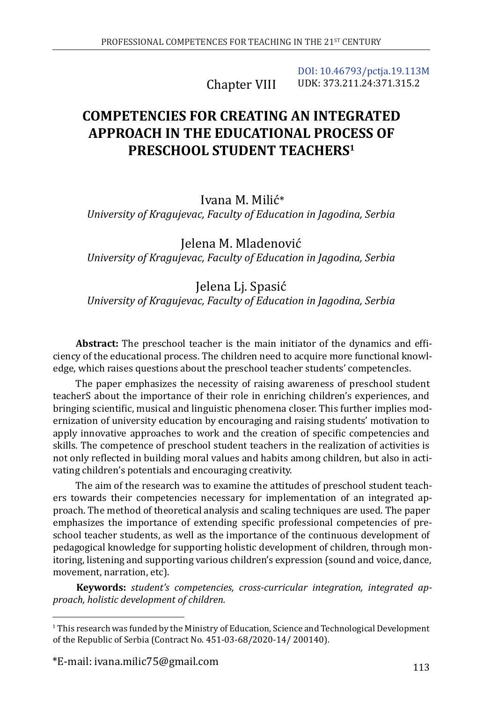Chapter VIII [DOI: 10.46793/pctja.19.113M](https://doi.org/10.46793/pctja.19.113M) UDK: 373.211.24:371.315.2

# **COMPETENCIES FOR CREATING AN INTEGRATED APPROACH IN THE EDUCATIONAL PROCESS OF PRESCHOOL STUDENT TEACHERS1**

Ivana M. Milić\* *University of Kragujevac, Faculty of Education in Jagodina, Serbia*

Jelena M. Mladenović *University of Kragujevac, Faculty of Education in Jagodina, Serbia*

Jelena Lj. Spasić *University of Kragujevac, Faculty of Education in Jagodina, Serbia*

**Abstract:** The preschool teacher is the main initiator of the dynamics and efficiency of the educational process. The children need to acquire more functional knowledge, which raises questions about the preschool teacher students' competencIes.

The paper emphasizes the necessity of raising awareness of preschool student teacherS about the importance of their role in enriching children's experiences, and bringing scientific, musical and linguistic phenomena closer. This further implies modernization of university education by encouraging and raising students' motivation to apply innovative approaches to work and the creation of specific competencies and skills. The competence of preschool student teachers in the realization of activities is not only reflected in building moral values and habits among children, but also in activating children's potentials and encouraging creativity.

The aim of the research was to examine the attitudes of preschool student teachers towards their competencies necessary for implementation of an integrated approach. The method of theoretical analysis and scaling techniques are used. The paper emphasizes the importance of extending specific professional competencies of preschool teacher students, as well as the importance of the continuous development of pedagogical knowledge for supporting holistic development of children, through monitoring, listening and supporting various children's expression (sound and voice, dance, movement, narration, etc).

**Keywords:** *student's competencies, cross-curricular integration, integrated approach, holistic development of children.*

<sup>1</sup> This research was funded by the Ministry of Education, Science and Technological Development of the Republic of Serbia (Contract No. 451-03-68/2020-14/ 200140).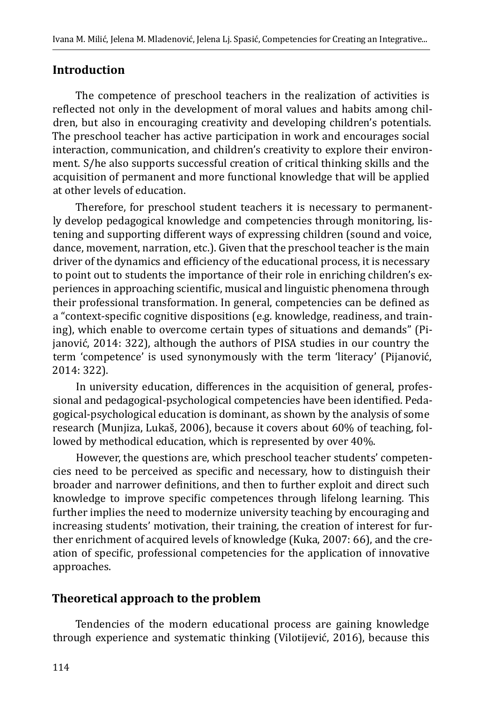#### **Introduction**

The competence of preschool teachers in the realization of activities is reflected not only in the development of moral values and habits among children, but also in encouraging creativity and developing children's potentials. The preschool teacher has active participation in work and encourages social interaction, communication, and children's creativity to explore their environment. S/he also supports successful creation of critical thinking skills and the acquisition of permanent and more functional knowledge that will be applied at other levels of education.

Therefore, for preschool student teachers it is necessary to permanently develop pedagogical knowledge and competencies through monitoring, listening and supporting different ways of expressing children (sound and voice, dance, movement, narration, etc.). Given that the preschool teacher is the main driver of the dynamics and efficiency of the educational process, it is necessary to point out to students the importance of their role in enriching children's experiences in approaching scientific, musical and linguistic phenomena through their professional transformation. In general, competencies can be defined as a "context-specific cognitive dispositions (e.g. knowledge, readiness, and training), which enable to overcome certain types of situations and demands" (Pijanović, 2014: 322), although the authors of PISA studies in our country the term 'competence' is used synonymously with the term 'literacy' (Pijanović, 2014: 322).

In university education, differences in the acquisition of general, professional and pedagogical-psychological competencies have been identified. Pedagogical-psychological education is dominant, as shown by the analysis of some research (Munjiza, Lukaš, 2006), because it covers about 60% of teaching, followed by methodical education, which is represented by over 40%.

However, the questions are, which preschool teacher students' competencies need to be perceived as specific and necessary, how to distinguish their broader and narrower definitions, and then to further exploit and direct such knowledge to improve specific competences through lifelong learning. This further implies the need to modernize university teaching by encouraging and increasing students' motivation, their training, the creation of interest for further enrichment of acquired levels of knowledge (Kuka, 2007: 66), and the creation of specific, professional competencies for the application of innovative approaches.

## **Theoretical approach to the problem**

Tendencies of the modern educational process are gaining knowledge through experience and systematic thinking (Vilotijević, 2016), because this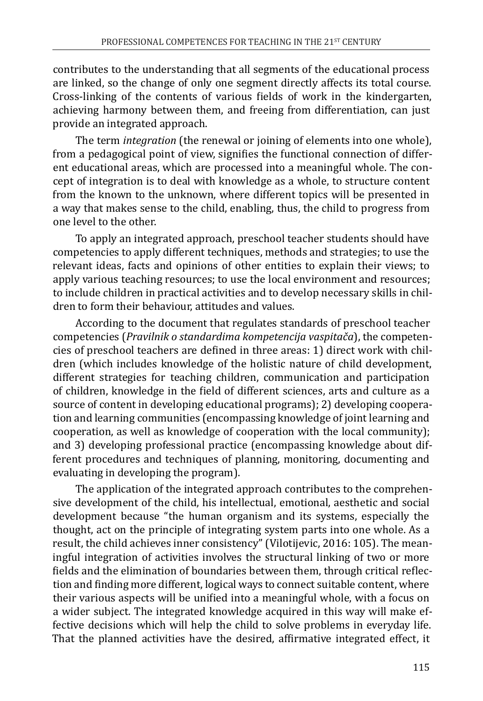contributes to the understanding that all segments of the educational process are linked, so the change of only one segment directly affects its total course. Cross-linking of the contents of various fields of work in the kindergarten, achieving harmony between them, and freeing from differentiation, can just provide an integrated approach.

The term *integration* (the renewal or joining of elements into one whole), from a pedagogical point of view, signifies the functional connection of different educational areas, which are processed into a meaningful whole. The concept of integration is to deal with knowledge as a whole, to structure content from the known to the unknown, where different topics will be presented in a way that makes sense to the child, enabling, thus, the child to progress from one level to the other.

To apply an integrated approach, preschool teacher students should have competencies to apply different techniques, methods and strategies; to use the relevant ideas, facts and opinions of other entities to explain their views; to apply various teaching resources; to use the local environment and resources; to include children in practical activities and to develop necessary skills in children to form their behaviour, attitudes and values.

According to the document that regulates standards of preschool teacher competencies (*Pravilnik o standardima kompetencija vaspitača*), the competencies of preschool teachers are defined in three areas: 1) direct work with children (which includes knowledge of the holistic nature of child development, different strategies for teaching children, communication and participation of children, knowledge in the field of different sciences, arts and culture as a source of content in developing educational programs); 2) developing cooperation and learning communities (encompassing knowledge of joint learning and cooperation, as well as knowledge of cooperation with the local community); and 3) developing professional practice (encompassing knowledge about different procedures and techniques of planning, monitoring, documenting and evaluating in developing the program).

The application of the integrated approach contributes to the comprehensive development of the child, his intellectual, emotional, aesthetic and social development because "the human organism and its systems, especially the thought, act on the principle of integrating system parts into one whole. As a result, the child achieves inner consistency" (Vilotijevic, 2016: 105). The meaningful integration of activities involves the structural linking of two or more fields and the elimination of boundaries between them, through critical reflection and finding more different, logical ways to connect suitable content, where their various aspects will be unified into a meaningful whole, with a focus on a wider subject. The integrated knowledge acquired in this way will make effective decisions which will help the child to solve problems in everyday life. That the planned activities have the desired, affirmative integrated effect, it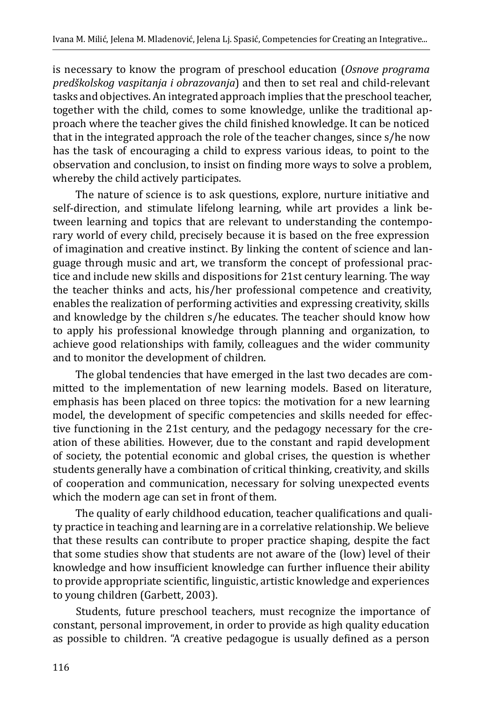is necessary to know the program of preschool education (*Osnove programa predškolskog vaspitanja i obrazovanja*) and then to set real and child-relevant tasks and objectives. An integrated approach implies that the preschool teacher, together with the child, comes to some knowledge, unlike the traditional approach where the teacher gives the child finished knowledge. It can be noticed that in the integrated approach the role of the teacher changes, since s/he now has the task of encouraging a child to express various ideas, to point to the observation and conclusion, to insist on finding more ways to solve a problem, whereby the child actively participates.

The nature of science is to ask questions, explore, nurture initiative and self-direction, and stimulate lifelong learning, while art provides a link between learning and topics that are relevant to understanding the contemporary world of every child, precisely because it is based on the free expression of imagination and creative instinct. By linking the content of science and language through music and art, we transform the concept of professional practice and include new skills and dispositions for 21st century learning. The way the teacher thinks and acts, his/her professional competence and creativity, enables the realization of performing activities and expressing creativity, skills and knowledge by the children s/he educates. The teacher should know how to apply his professional knowledge through planning and organization, to achieve good relationships with family, colleagues and the wider community and to monitor the development of children.

The global tendencies that have emerged in the last two decades are committed to the implementation of new learning models. Based on literature, emphasis has been placed on three topics: the motivation for a new learning model, the development of specific competencies and skills needed for effective functioning in the 21st century, and the pedagogy necessary for the creation of these abilities. However, due to the constant and rapid development of society, the potential economic and global crises, the question is whether students generally have a combination of critical thinking, creativity, and skills of cooperation and communication, necessary for solving unexpected events which the modern age can set in front of them.

The quality of early childhood education, teacher qualifications and quality practice in teaching and learning are in a correlative relationship. We believe that these results can contribute to proper practice shaping, despite the fact that some studies show that students are not aware of the (low) level of their knowledge and how insufficient knowledge can further influence their ability to provide appropriate scientific, linguistic, artistic knowledge and experiences to young children (Garbett, 2003).

Students, future preschool teachers, must recognize the importance of constant, personal improvement, in order to provide as high quality education as possible to children. "A creative pedagogue is usually defined as a person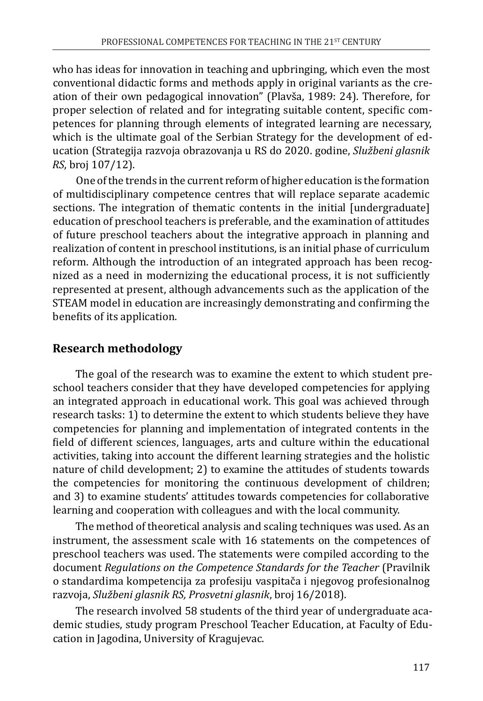who has ideas for innovation in teaching and upbringing, which even the most conventional didactic forms and methods apply in original variants as the creation of their own pedagogical innovation" (Plavša, 1989: 24). Therefore, for proper selection of related and for integrating suitable content, specific competences for planning through elements of integrated learning are necessary, which is the ultimate goal of the Serbian Strategy for the development of education (Strategija razvoja obrazovanja u RS do 2020. godine, *Službeni glasnik RS*, broj 107/12).

One of the trends in the current reform of higher education is the formation of multidisciplinary competence centres that will replace separate academic sections. The integration of thematic contents in the initial [undergraduate] education of preschool teachers is preferable, and the examination of attitudes of future preschool teachers about the integrative approach in planning and realization of content in preschool institutions, is an initial phase of curriculum reform. Although the introduction of an integrated approach has been recognized as a need in modernizing the educational process, it is not sufficiently represented at present, although advancements such as the application of the STEAM model in education are increasingly demonstrating and confirming the benefits of its application.

# **Research methodology**

The goal of the research was to examine the extent to which student preschool teachers consider that they have developed competencies for applying an integrated approach in educational work. This goal was achieved through research tasks: 1) to determine the extent to which students believe they have competencies for planning and implementation of integrated contents in the field of different sciences, languages, arts and culture within the educational activities, taking into account the different learning strategies and the holistic nature of child development; 2) to examine the attitudes of students towards the competencies for monitoring the continuous development of children; and 3) to examine students' attitudes towards competencies for collaborative learning and cooperation with colleagues and with the local community.

The method of theoretical analysis and scaling techniques was used. As an instrument, the assessment scale with 16 statements on the competences of preschool teachers was used. The statements were compiled according to the document *Regulations on the Competence Standards for the Teacher* (Pravilnik o standardima kompetencija za profesiju vaspitača i njegovog profesionalnog razvoja, *Službeni glasnik RS, Prosvetni glasnik*, broj 16/2018).

The research involved 58 students of the third year of undergraduate academic studies, study program Preschool Teacher Education, at Faculty of Education in Jagodina, University of Kragujevac.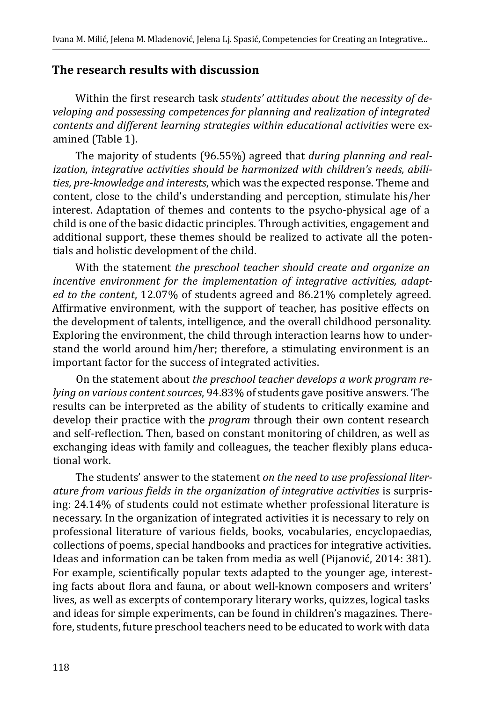#### **The research results with discussion**

Within the first research task *students' attitudes about the necessity of developing and possessing competences for planning and realization of integrated contents and different learning strategies within educational activities* were examined (Table 1).

The majority of students (96.55%) agreed that *during planning and realization, integrative activities should be harmonized with children's needs, abilities, pre-knowledge and interests*, which was the expected response. Theme and content, close to the child's understanding and perception, stimulate his/her interest. Adaptation of themes and contents to the psycho-physical age of a child is one of the basic didactic principles. Through activities, engagement and additional support, these themes should be realized to activate all the potentials and holistic development of the child.

With the statement *the preschool teacher should create and organize an incentive environment for the implementation of integrative activities, adapted to the content*, 12.07% of students agreed and 86.21% completely agreed. Affirmative environment, with the support of teacher, has positive effects on the development of talents, intelligence, and the overall childhood personality. Exploring the environment, the child through interaction learns how to understand the world around him/her; therefore, a stimulating environment is an important factor for the success of integrated activities.

On the statement about *the preschool teacher develops a work program relying on various content sources*, 94.83% of students gave positive answers. The results can be interpreted as the ability of students to critically examine and develop their practice with the *program* through their own content research and self-reflection. Then, based on constant monitoring of children, as well as exchanging ideas with family and colleagues, the teacher flexibly plans educational work.

The students' answer to the statement *on the need to use professional literature from various fields in the organization of integrative activities* is surprising: 24.14% of students could not estimate whether professional literature is necessary. In the organization of integrated activities it is necessary to rely on professional literature of various fields, books, vocabularies, encyclopaedias, collections of poems, special handbooks and practices for integrative activities. Ideas and information can be taken from media as well (Pijanović, 2014: 381). For example, scientifically popular texts adapted to the younger age, interesting facts about flora and fauna, or about well-known composers and writers' lives, as well as excerpts of contemporary literary works, quizzes, logical tasks and ideas for simple experiments, can be found in children's magazines. Therefore, students, future preschool teachers need to be educated to work with data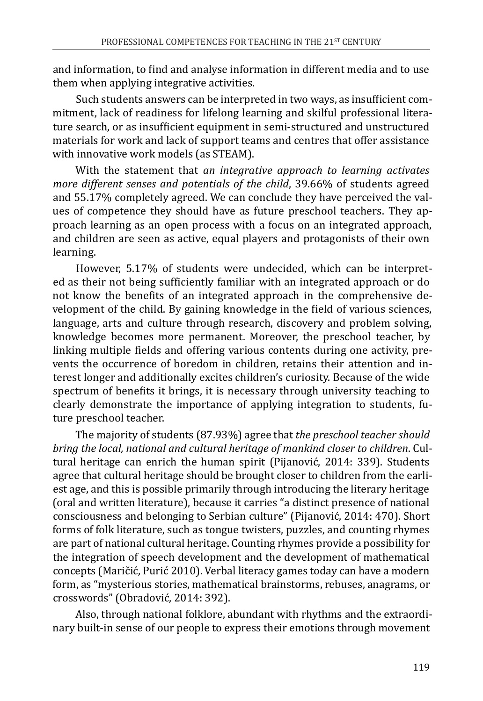and information, to find and analyse information in different media and to use them when applying integrative activities.

Such students answers can be interpreted in two ways, as insufficient commitment, lack of readiness for lifelong learning and skilful professional literature search, or as insufficient equipment in semi-structured and unstructured materials for work and lack of support teams and centres that offer assistance with innovative work models (as STEAM).

With the statement that *an integrative approach to learning activates more different senses and potentials of the child*, 39.66% of students agreed and 55.17% completely agreed. We can conclude they have perceived the values of competence they should have as future preschool teachers. They approach learning as an open process with a focus on an integrated approach, and children are seen as active, equal players and protagonists of their own learning.

However, 5.17% of students were undecided, which can be interpreted as their not being sufficiently familiar with an integrated approach or do not know the benefits of an integrated approach in the comprehensive development of the child. By gaining knowledge in the field of various sciences, language, arts and culture through research, discovery and problem solving, knowledge becomes more permanent. Moreover, the preschool teacher, by linking multiple fields and offering various contents during one activity, prevents the occurrence of boredom in children, retains their attention and interest longer and additionally excites children's curiosity. Because of the wide spectrum of benefits it brings, it is necessary through university teaching to clearly demonstrate the importance of applying integration to students, future preschool teacher.

The majority of students (87.93%) agree that *the preschool teacher should bring the local, national and cultural heritage of mankind closer to children*. Cultural heritage can enrich the human spirit (Pijanović, 2014: 339). Students agree that cultural heritage should be brought closer to children from the earliest age, and this is possible primarily through introducing the literary heritage (oral and written literature), because it carries "a distinct presence of national consciousness and belonging to Serbian culture" (Pijanović, 2014: 470). Short forms of folk literature, such as tongue twisters, puzzles, and counting rhymes are part of national cultural heritage. Counting rhymes provide a possibility for the integration of speech development and the development of mathematical concepts (Maričić, Purić 2010). Verbal literacy games today can have a modern form, as "mysterious stories, mathematical brainstorms, rebuses, anagrams, or crosswords" (Obradović, 2014: 392).

Also, through national folklore, abundant with rhythms and the extraordinary built-in sense of our people to express their emotions through movement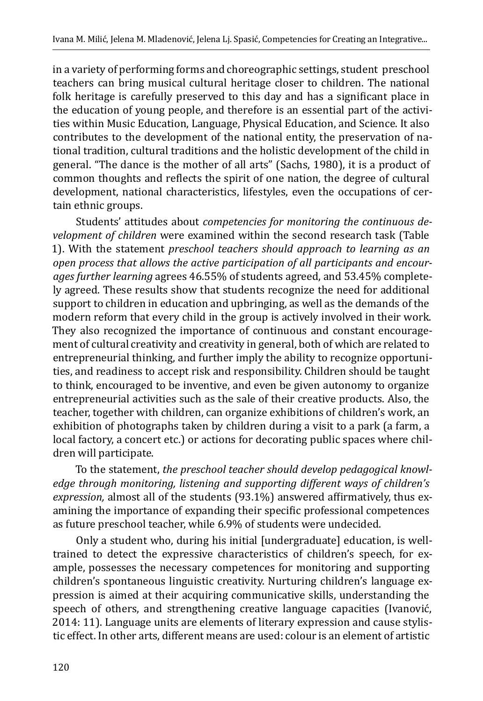in a variety of performing forms and choreographic settings, student preschool teachers can bring musical cultural heritage closer to children. The national folk heritage is carefully preserved to this day and has a significant place in the education of young people, and therefore is an essential part of the activities within Music Education, Language, Physical Education, and Science. It also contributes to the development of the national entity, the preservation of national tradition, cultural traditions and the holistic development of the child in general. "The dance is the mother of all arts" (Sachs, 1980), it is a product of common thoughts and reflects the spirit of one nation, the degree of cultural development, national characteristics, lifestyles, even the occupations of certain ethnic groups.

Students' attitudes about *competencies for monitoring the continuous development of children* were examined within the second research task (Table 1). With the statement *preschool teachers should approach to learning as an open process that allows the active participation of all participants and encourages further learning* agrees 46.55% of students agreed, and 53.45% completely agreed. These results show that students recognize the need for additional support to children in education and upbringing, as well as the demands of the modern reform that every child in the group is actively involved in their work. They also recognized the importance of continuous and constant encouragement of cultural creativity and creativity in general, both of which are related to entrepreneurial thinking, and further imply the ability to recognize opportunities, and readiness to accept risk and responsibility. Children should be taught to think, encouraged to be inventive, and even be given autonomy to organize entrepreneurial activities such as the sale of their creative products. Also, the teacher, together with children, can organize exhibitions of children's work, an exhibition of photographs taken by children during a visit to a park (a farm, a local factory, a concert etc.) or actions for decorating public spaces where children will participate.

To the statement, *the preschool teacher should develop pedagogical knowledge through monitoring, listening and supporting different ways of children's expression,* almost all of the students (93.1%) answered affirmatively, thus examining the importance of expanding their specific professional competences as future preschool teacher, while 6.9% of students were undecided.

Only a student who, during his initial [undergraduate] education, is welltrained to detect the expressive characteristics of children's speech, for example, possesses the necessary competences for monitoring and supporting children's spontaneous linguistic creativity. Nurturing children's language expression is aimed at their acquiring communicative skills, understanding the speech of others, and strengthening creative language capacities (Ivanović, 2014: 11). Language units are elements of literary expression and cause stylistic effect. In other arts, different means are used: colour is an element of artistic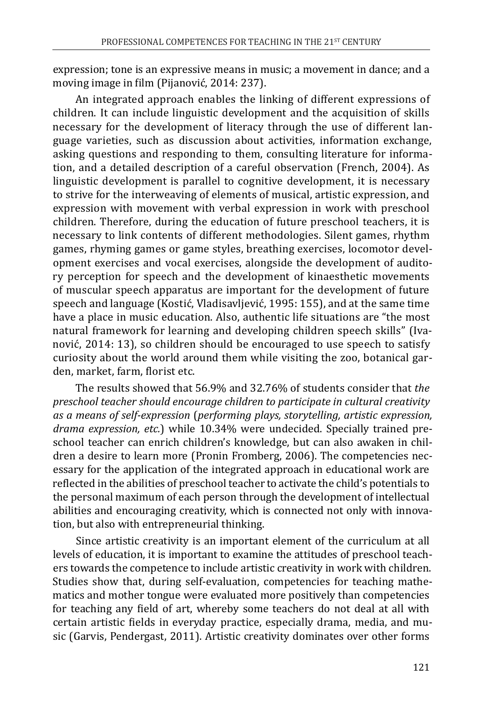expression; tone is an expressive means in music; a movement in dance; and a moving image in film (Pijanović, 2014: 237).

An integrated approach enables the linking of different expressions of children. It can include linguistic development and the acquisition of skills necessary for the development of literacy through the use of different language varieties, such as discussion about activities, information exchange, asking questions and responding to them, consulting literature for information, and a detailed description of a careful observation (French, 2004). As linguistic development is parallel to cognitive development, it is necessary to strive for the interweaving of elements of musical, artistic expression, and expression with movement with verbal expression in work with preschool children. Therefore, during the education of future preschool teachers, it is necessary to link contents of different methodologies. Silent games, rhythm games, rhyming games or game styles, breathing exercises, locomotor development exercises and vocal exercises, alongside the development of auditory perception for speech and the development of kinaesthetic movements of muscular speech apparatus are important for the development of future speech and language (Kostić, Vladisavljević, 1995: 155), and at the same time have a place in music education. Also, authentic life situations are "the most natural framework for learning and developing children speech skills" (Ivanović, 2014: 13), so children should be encouraged to use speech to satisfy curiosity about the world around them while visiting the zoo, botanical garden, market, farm, florist etc.

The results showed that 56.9% and 32.76% of students consider that *the preschool teacher should encourage children to participate in cultural creativity as a means of self-expression* (*performing plays, storytelling, artistic expression, drama expression, etc.*) while 10.34% were undecided. Specially trained preschool teacher can enrich children's knowledge, but can also awaken in children a desire to learn more (Pronin Fromberg, 2006). The competencies necessary for the application of the integrated approach in educational work are reflected in the abilities of preschool teacher to activate the child's potentials to the personal maximum of each person through the development of intellectual abilities and encouraging creativity, which is connected not only with innovation, but also with entrepreneurial thinking.

Since artistic creativity is an important element of the curriculum at all levels of education, it is important to examine the attitudes of preschool teachers towards the competence to include artistic creativity in work with children. Studies show that, during self-evaluation, competencies for teaching mathematics and mother tongue were evaluated more positively than competencies for teaching any field of art, whereby some teachers do not deal at all with certain artistic fields in everyday practice, especially drama, media, and music (Garvis, Pendergast, 2011). Artistic creativity dominates over other forms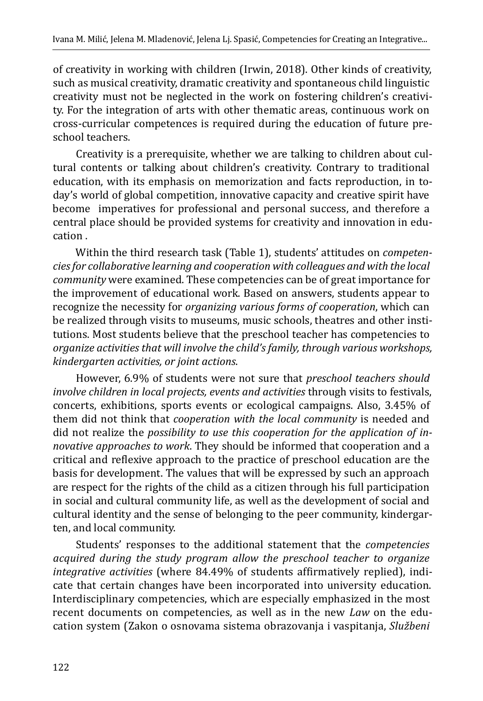of creativity in working with children (Irwin, 2018). Other kinds of creativity, such as musical creativity, dramatic creativity and spontaneous child linguistic creativity must not be neglected in the work on fostering children's creativity. For the integration of arts with other thematic areas, continuous work on cross-curricular competences is required during the education of future preschool teachers.

Creativity is a prerequisite, whether we are talking to children about cultural contents or talking about children's creativity. Contrary to traditional education, with its emphasis on memorization and facts reproduction, in today's world of global competition, innovative capacity and creative spirit have become imperatives for professional and personal success, and therefore a central place should be provided systems for creativity and innovation in education .

Within the third research task (Table 1), students' attitudes on *competencies for collaborative learning and cooperation with colleagues and with the local community* were examined. These competencies can be of great importance for the improvement of educational work. Based on answers, students appear to recognize the necessity for *organizing various forms of cooperation*, which can be realized through visits to museums, music schools, theatres and other institutions. Most students believe that the preschool teacher has competencies to *organize activities that will involve the child's family, through various workshops, kindergarten activities, or joint actions*.

However, 6.9% of students were not sure that *preschool teachers should involve children in local projects, events and activities* through visits to festivals, concerts, exhibitions, sports events or ecological campaigns. Also, 3.45% of them did not think that *cooperation with the local community* is needed and did not realize the *possibility to use this cooperation for the application of innovative approaches to work*. They should be informed that cooperation and a critical and reflexive approach to the practice of preschool education are the basis for development. The values that will be expressed by such an approach are respect for the rights of the child as a citizen through his full participation in social and cultural community life, as well as the development of social and cultural identity and the sense of belonging to the peer community, kindergarten, and local community.

Students' responses to the additional statement that the *competencies acquired during the study program allow the preschool teacher to organize integrative activities* (where 84.49% of students affirmatively replied), indicate that certain changes have been incorporated into university education. Interdisciplinary competencies, which are especially emphasized in the most recent documents on competencies, as well as in the new *Law* on the education system (Zakon o osnovama sistema obrazovanja i vaspitanja, *Službeni*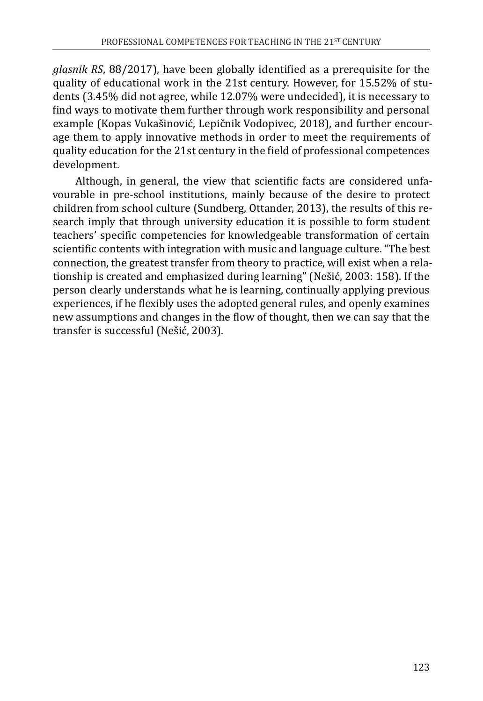*glasnik RS*, 88/2017), have been globally identified as a prerequisite for the quality of educational work in the 21st century. However, for 15.52% of students (3.45% did not agree, while 12.07% were undecided), it is necessary to find ways to motivate them further through work responsibility and personal example (Kopas Vukašinović, Lepičnik Vodopivec, 2018), and further encourage them to apply innovative methods in order to meet the requirements of quality education for the 21st century in the field of professional competences development.

Although, in general, the view that scientific facts are considered unfavourable in pre-school institutions, mainly because of the desire to protect children from school culture (Sundberg, Ottander, 2013), the results of this research imply that through university education it is possible to form student teachers' specific competencies for knowledgeable transformation of certain scientific contents with integration with music and language culture. "The best connection, the greatest transfer from theory to practice, will exist when a relationship is created and emphasized during learning" (Nešić, 2003: 158). If the person clearly understands what he is learning, continually applying previous experiences, if he flexibly uses the adopted general rules, and openly examines new assumptions and changes in the flow of thought, then we can say that the transfer is successful (Nešić, 2003).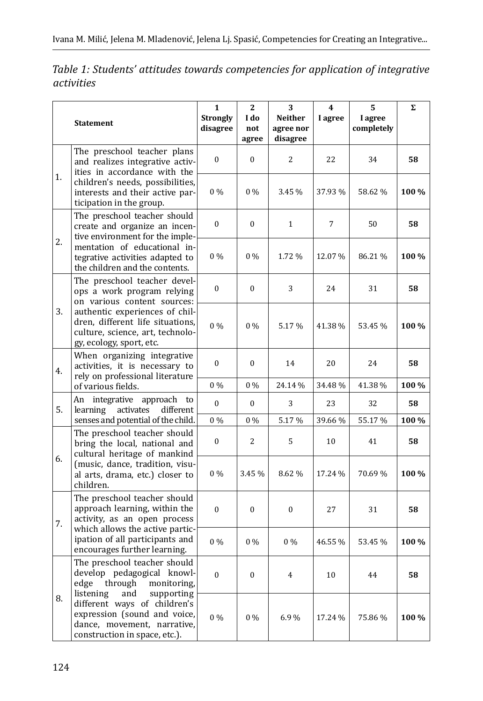|    | <b>Statement</b>                                                                                                                                                                                      | $\mathbf{1}$<br><b>Strongly</b><br>disagree | 2<br>I do<br>not<br>agree | 3<br><b>Neither</b><br>agree nor<br>disagree | 4<br>I agree | 5<br>I agree<br>completely | Σ     |
|----|-------------------------------------------------------------------------------------------------------------------------------------------------------------------------------------------------------|---------------------------------------------|---------------------------|----------------------------------------------|--------------|----------------------------|-------|
| 1. | The preschool teacher plans<br>and realizes integrative activ-<br>ities in accordance with the<br>children's needs, possibilities,<br>interests and their active par-<br>ticipation in the group.     | $\boldsymbol{0}$                            | $\boldsymbol{0}$          | $\overline{2}$                               | 22           | 34                         | 58    |
|    |                                                                                                                                                                                                       | $0\%$                                       | $0\%$                     | 3.45 %                                       | 37.93%       | 58.62%                     | 100 % |
| 2. | The preschool teacher should<br>create and organize an incen-<br>tive environment for the imple-<br>mentation of educational in-<br>tegrative activities adapted to<br>the children and the contents. | $\boldsymbol{0}$                            | 0                         | $\mathbf{1}$                                 | 7            | 50                         | 58    |
|    |                                                                                                                                                                                                       | $0\%$                                       | $0\%$                     | 1.72 %                                       | 12.07%       | 86.21%                     | 100 % |
| 3. | The preschool teacher devel-<br>ops a work program relying<br>on various content sources:                                                                                                             | $\boldsymbol{0}$                            | 0                         | 3                                            | 24           | 31                         | 58    |
|    | authentic experiences of chil-<br>dren, different life situations,<br>culture, science, art, technolo-<br>gy, ecology, sport, etc.                                                                    | $0\%$                                       | $0\%$                     | 5.17%                                        | 41.38%       | 53.45%                     | 100 % |
| 4. | When organizing integrative<br>activities, it is necessary to<br>rely on professional literature                                                                                                      | 0                                           | $\theta$                  | 14                                           | 20           | 24                         | 58    |
|    | of various fields.                                                                                                                                                                                    | $0\%$                                       | $0\%$                     | 24.14 %                                      | 34.48%       | 41.38%                     | 100 % |
| 5. | An integrative approach<br>to<br>learning<br>activates<br>different                                                                                                                                   | 0                                           | 0                         | 3                                            | 23           | 32                         | 58    |
|    | senses and potential of the child.                                                                                                                                                                    | $0\%$                                       | $0\%$                     | 5.17%                                        | 39.66%       | 55.17%                     | 100 % |
| 6. | The preschool teacher should<br>bring the local, national and<br>cultural heritage of mankind<br>(music, dance, tradition, visu-<br>al arts, drama, etc.) closer to<br>children.                      | 0                                           | 2                         | 5                                            | 10           | 41                         | 58    |
|    |                                                                                                                                                                                                       | $0\%$                                       | 3.45 %                    | 8.62 %                                       | 17.24 %      | 70.69%                     | 100 % |
| 7. | The preschool teacher should<br>approach learning, within the<br>activity, as an open process<br>which allows the active partic-<br>ipation of all participants and<br>encourages further learning.   | 0                                           | 0                         | $\mathbf{0}$                                 | 27           | 31                         | 58    |
|    |                                                                                                                                                                                                       | $0\%$                                       | $0\%$                     | $0\%$                                        | 46.55 %      | 53.45 %                    | 100 % |
| 8. | The preschool teacher should<br>develop pedagogical knowl-<br>edge<br>through<br>monitoring,                                                                                                          | $\boldsymbol{0}$                            | $\mathbf{0}$              | $\overline{4}$                               | 10           | 44                         | 58    |
|    | listening<br>and<br>supporting<br>different ways of children's<br>expression (sound and voice,<br>dance, movement, narrative,<br>construction in space, etc.).                                        | $0\%$                                       | $0\%$                     | 6.9%                                         | 17.24 %      | 75.86%                     | 100 % |

## *Table 1: Students' attitudes towards competencies for application of integrative activities*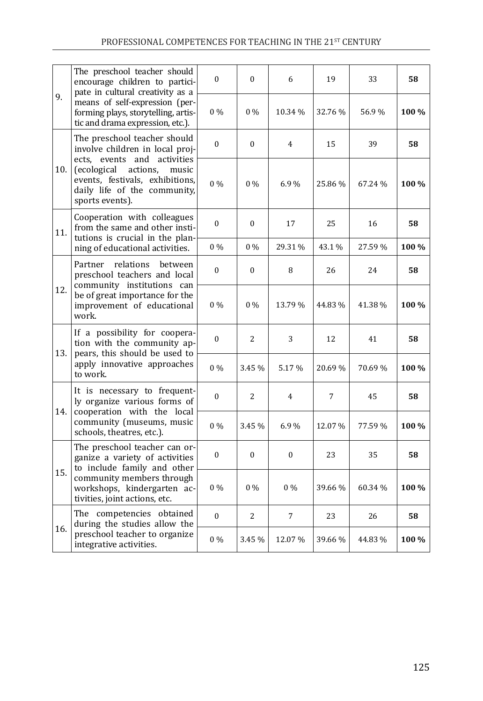| 9.  | The preschool teacher should<br>encourage children to partici-<br>pate in cultural creativity as a<br>means of self-expression (per-<br>forming plays, storytelling, artis-<br>tic and drama expression, etc.).          | $\Omega$     | $\Omega$ | 6              | 19             | 33      | 58    |
|-----|--------------------------------------------------------------------------------------------------------------------------------------------------------------------------------------------------------------------------|--------------|----------|----------------|----------------|---------|-------|
|     |                                                                                                                                                                                                                          | $0\%$        | $0\%$    | 10.34 %        | 32.76 %        | 56.9%   | 100 % |
| 10. | The preschool teacher should<br>involve children in local proj-<br>ects, events and activities<br>(ecological<br>actions.<br>music<br>events, festivals, exhibitions,<br>daily life of the community,<br>sports events). | $\mathbf{0}$ | 0        | $\overline{4}$ | 15             | 39      | 58    |
|     |                                                                                                                                                                                                                          | $0\%$        | $0\%$    | 6.9%           | 25.86%         | 67.24%  | 100 % |
| 11. | Cooperation with colleagues<br>from the same and other insti-<br>tutions is crucial in the plan-<br>ning of educational activities.                                                                                      | $\theta$     | $\theta$ | 17             | 25             | 16      | 58    |
|     |                                                                                                                                                                                                                          | $0\%$        | $0\%$    | 29.31%         | 43.1%          | 27.59%  | 100 % |
| 12. | relations<br>Partner<br>between<br>preschool teachers and local<br>community institutions can<br>be of great importance for the<br>improvement of educational<br>work.                                                   | $\mathbf{0}$ | 0        | 8              | 26             | 24      | 58    |
|     |                                                                                                                                                                                                                          | $0\%$        | $0\%$    | 13.79%         | 44.83%         | 41.38%  | 100 % |
| 13. | If a possibility for coopera-<br>tion with the community ap-<br>pears, this should be used to<br>apply innovative approaches<br>to work.                                                                                 | 0            | 2        | 3              | 12             | 41      | 58    |
|     |                                                                                                                                                                                                                          | $0\%$        | 3.45 %   | 5.17%          | 20.69%         | 70.69%  | 100 % |
| 14. | It is necessary to frequent-<br>ly organize various forms of<br>cooperation with the local<br>community (museums, music<br>schools, theatres, etc.).                                                                     | $\Omega$     | 2        | $\overline{4}$ | $\overline{7}$ | 45      | 58    |
|     |                                                                                                                                                                                                                          | $0\%$        | 3.45 %   | 6.9%           | 12.07%         | 77.59 % | 100 % |
| 15. | The preschool teacher can or-<br>ganize a variety of activities<br>to include family and other<br>community members through<br>workshops, kindergarten ac-<br>tivities, joint actions, etc.                              | $\mathbf{0}$ | $\theta$ | $\overline{0}$ | 23             | 35      | 58    |
|     |                                                                                                                                                                                                                          | $0\%$        | $0\%$    | $0\%$          | 39.66%         | 60.34 % | 100 % |
| 16. | The competencies obtained<br>during the studies allow the<br>preschool teacher to organize<br>integrative activities.                                                                                                    | $\mathbf{0}$ | 2        | $\overline{7}$ | 23             | 26      | 58    |
|     |                                                                                                                                                                                                                          | $0\%$        | 3.45 %   | 12.07%         | 39.66%         | 44.83%  | 100 % |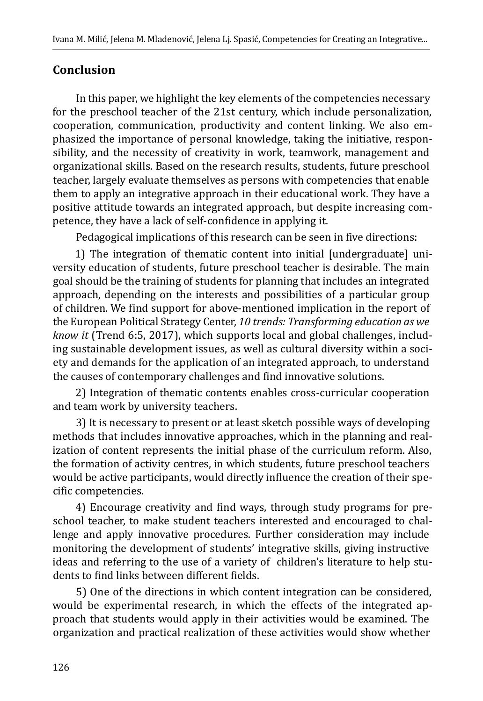#### **Conclusion**

In this paper, we highlight the key elements of the competencies necessary for the preschool teacher of the 21st century, which include personalization, cooperation, communication, productivity and content linking. We also emphasized the importance of personal knowledge, taking the initiative, responsibility, and the necessity of creativity in work, teamwork, management and organizational skills. Based on the research results, students, future preschool teacher, largely evaluate themselves as persons with competencies that enable them to apply an integrative approach in their educational work. They have a positive attitude towards an integrated approach, but despite increasing competence, they have a lack of self-confidence in applying it.

Pedagogical implications of this research can be seen in five directions:

1) The integration of thematic content into initial [undergraduate] university education of students, future preschool teacher is desirable. The main goal should be the training of students for planning that includes an integrated approach, depending on the interests and possibilities of a particular group of children. We find support for above-mentioned implication in the report of the European Political Strategy Center, *10 trends: Transforming education as we know it* (Trend 6:5, 2017), which supports local and global challenges, including sustainable development issues, as well as cultural diversity within a society and demands for the application of an integrated approach, to understand the causes of contemporary challenges and find innovative solutions.

2) Integration of thematic contents enables cross-curricular cooperation and team work by university teachers.

3) It is necessary to present or at least sketch possible ways of developing methods that includes innovative approaches, which in the planning and realization of content represents the initial phase of the curriculum reform. Also, the formation of activity centres, in which students, future preschool teachers would be active participants, would directly influence the creation of their specific competencies.

4) Encourage creativity and find ways, through study programs for preschool teacher, to make student teachers interested and encouraged to challenge and apply innovative procedures. Further consideration may include monitoring the development of students' integrative skills, giving instructive ideas and referring to the use of a variety of children's literature to help students to find links between different fields.

5) One of the directions in which content integration can be considered, would be experimental research, in which the effects of the integrated approach that students would apply in their activities would be examined. The organization and practical realization of these activities would show whether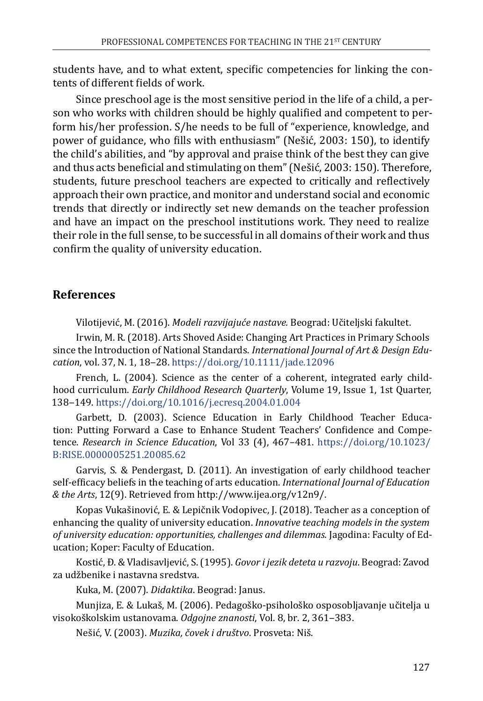students have, and to what extent, specific competencies for linking the contents of different fields of work.

Since preschool age is the most sensitive period in the life of a child, a person who works with children should be highly qualified and competent to perform his/her profession. S/he needs to be full of "experience, knowledge, and power of guidance, who fills with enthusiasm" (Nešić, 2003: 150), to identify the child's abilities, and "by approval and praise think of the best they can give and thus acts beneficial and stimulating on them" (Nešić, 2003: 150). Therefore, students, future preschool teachers are expected to critically and reflectively approach their own practice, and monitor and understand social and economic trends that directly or indirectly set new demands on the teacher profession and have an impact on the preschool institutions work. They need to realize their role in the full sense, to be successful in all domains of their work and thus confirm the quality of university education.

#### **References**

Vilotijević, M. (2016). *Modeli razvijajuće nastave.* Beograd: Učiteljski fakultet.

Irwin, M. R. (2018). Arts Shoved Aside: Changing Art Practices in Primary Schools since the Introduction of National Standards. *International Journal of Art & Design Education*, vol. 37, N. 1, 18‒28. <https://doi.org/10.1111/jade.12096>

French, L. (2004). Science as the center of a coherent, integrated early childhood curriculum. *Early Childhood Research Quarterly*, Volume 19, Issue 1, 1st Quarter, 138‒149. <https://doi.org/10.1016/j.ecresq.2004.01.004>

Garbett, D. (2003). Science Education in Early Childhood Teacher Education: Putting Forward a Case to Enhance Student Teachers' Confidence and Competence. *Research in Science Education*, Vol 33 (4), 467–481. [https://doi.org/10.1023/](https://doi.org/10.1023/B:RISE.0000005251.20085.62) [B:RISE.0000005251.20085.62](https://doi.org/10.1023/B:RISE.0000005251.20085.62)

Garvis, S. & Pendergast, D. (2011). An investigation of early childhood teacher self-efficacy beliefs in the teaching of arts education. *International Journal of Education & the Arts*, 12(9). Retrieved from http://www.ijea.org/v12n9/.

Kopas Vukašinović, E. & Lepičnik Vodopivec, J. (2018). Teacher as a conception of enhancing the quality of university education. *Innovative teaching models in the system of university education: opportunities, challenges and dilemmas.* Jagodina: Faculty of Education; Koper: Faculty of Education.

Kostić, Đ. & Vladisavljević, S. (1995). *Govor i jezik deteta u razvoju*. Beograd: Zavod za udžbenike i nastavna sredstva.

Kuka, M. (2007). *Didaktika*. Beograd: Janus.

Munjiza, E. & Lukaš, M. (2006). Pedagoško-psihološko osposobljavanje učitelja u visokoškolskim ustanovama. *Odgojne znanosti*, Vol. 8, br. 2, 361‒383.

Nešić, V. (2003). *Muzika, čovek i društvo*. Prosveta: Niš.